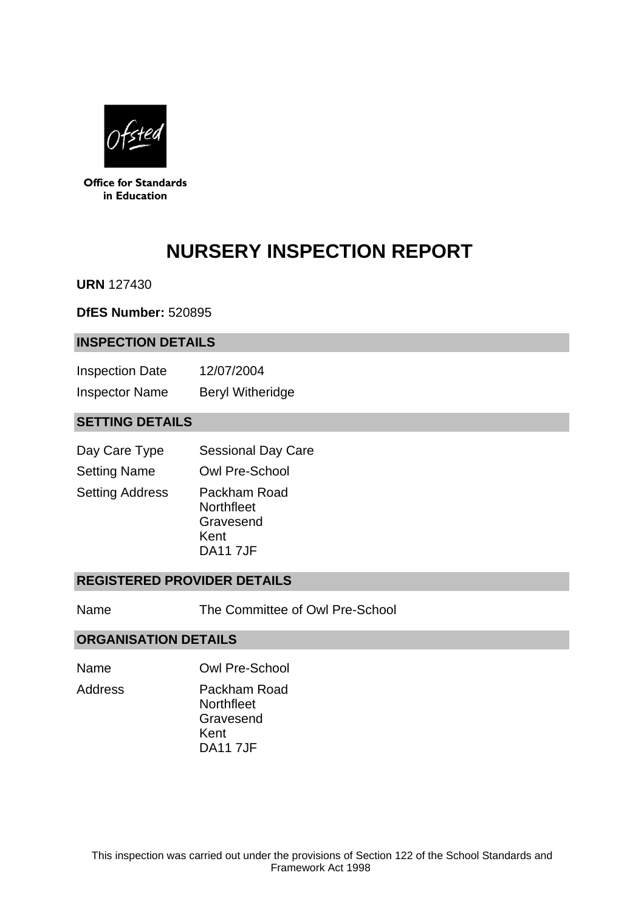

**Office for Standards** in Education

# **NURSERY INSPECTION REPORT**

**URN** 127430

**DfES Number:** 520895

#### **INSPECTION DETAILS**

| <b>Inspection Date</b> | 12/07/2004              |
|------------------------|-------------------------|
| <b>Inspector Name</b>  | <b>Beryl Witheridge</b> |

## **SETTING DETAILS**

| Day Care Type          | <b>Sessional Day Care</b>                                         |
|------------------------|-------------------------------------------------------------------|
| <b>Setting Name</b>    | Owl Pre-School                                                    |
| <b>Setting Address</b> | Packham Road<br>Northfleet<br>Gravesend<br>Kent<br><b>DA117JF</b> |

## **REGISTERED PROVIDER DETAILS**

Name The Committee of Owl Pre-School

#### **ORGANISATION DETAILS**

Name Owl Pre-School Address Packham Road **Northfleet** Gravesend Kent DA11 7JF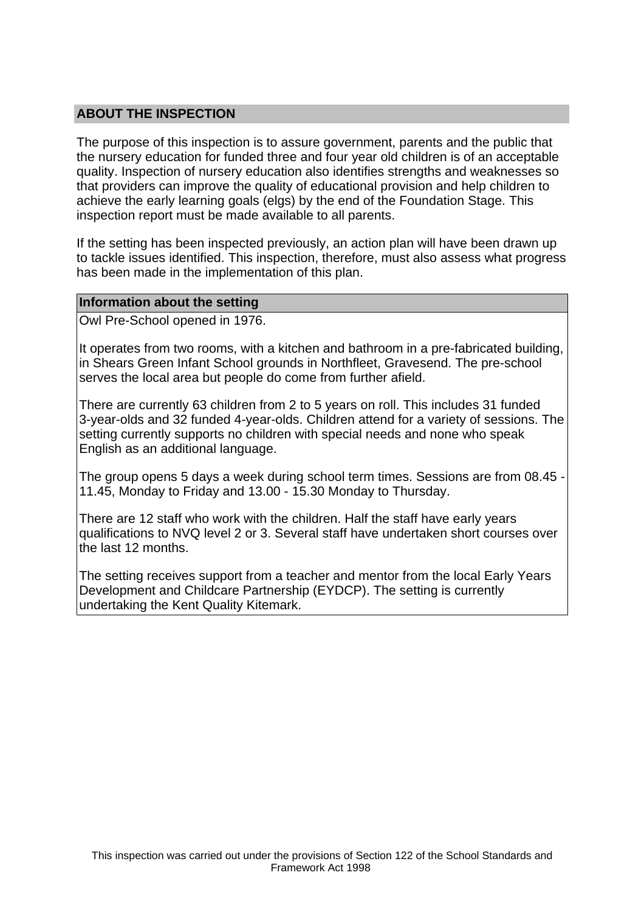## **ABOUT THE INSPECTION**

The purpose of this inspection is to assure government, parents and the public that the nursery education for funded three and four year old children is of an acceptable quality. Inspection of nursery education also identifies strengths and weaknesses so that providers can improve the quality of educational provision and help children to achieve the early learning goals (elgs) by the end of the Foundation Stage. This inspection report must be made available to all parents.

If the setting has been inspected previously, an action plan will have been drawn up to tackle issues identified. This inspection, therefore, must also assess what progress has been made in the implementation of this plan.

#### **Information about the setting**

Owl Pre-School opened in 1976.

It operates from two rooms, with a kitchen and bathroom in a pre-fabricated building, in Shears Green Infant School grounds in Northfleet, Gravesend. The pre-school serves the local area but people do come from further afield.

There are currently 63 children from 2 to 5 years on roll. This includes 31 funded 3-year-olds and 32 funded 4-year-olds. Children attend for a variety of sessions. The setting currently supports no children with special needs and none who speak English as an additional language.

The group opens 5 days a week during school term times. Sessions are from 08.45 - 11.45, Monday to Friday and 13.00 - 15.30 Monday to Thursday.

There are 12 staff who work with the children. Half the staff have early years qualifications to NVQ level 2 or 3. Several staff have undertaken short courses over the last 12 months.

The setting receives support from a teacher and mentor from the local Early Years Development and Childcare Partnership (EYDCP). The setting is currently undertaking the Kent Quality Kitemark.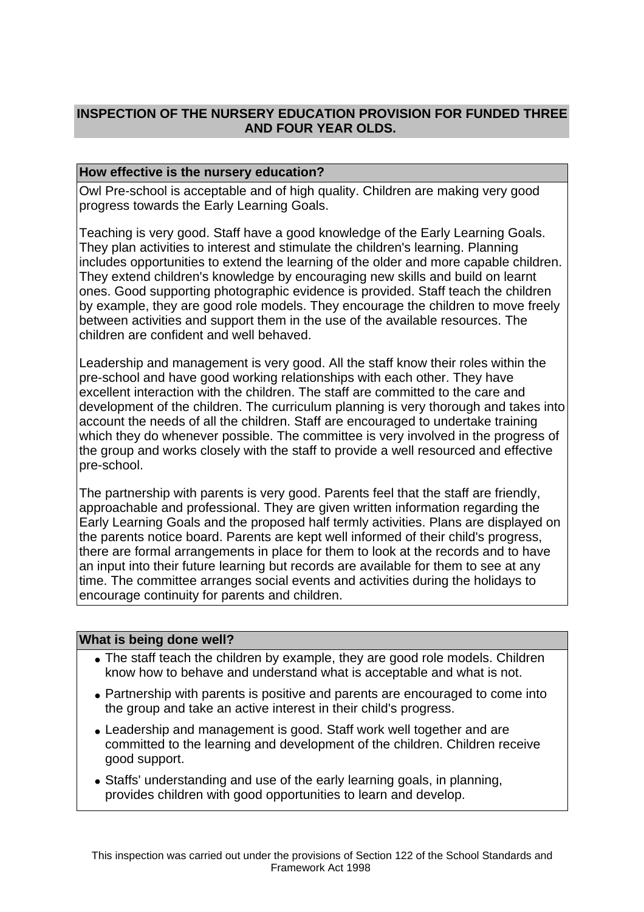# **INSPECTION OF THE NURSERY EDUCATION PROVISION FOR FUNDED THREE AND FOUR YEAR OLDS.**

## **How effective is the nursery education?**

Owl Pre-school is acceptable and of high quality. Children are making very good progress towards the Early Learning Goals.

Teaching is very good. Staff have a good knowledge of the Early Learning Goals. They plan activities to interest and stimulate the children's learning. Planning includes opportunities to extend the learning of the older and more capable children. They extend children's knowledge by encouraging new skills and build on learnt ones. Good supporting photographic evidence is provided. Staff teach the children by example, they are good role models. They encourage the children to move freely between activities and support them in the use of the available resources. The children are confident and well behaved.

Leadership and management is very good. All the staff know their roles within the pre-school and have good working relationships with each other. They have excellent interaction with the children. The staff are committed to the care and development of the children. The curriculum planning is very thorough and takes into account the needs of all the children. Staff are encouraged to undertake training which they do whenever possible. The committee is very involved in the progress of the group and works closely with the staff to provide a well resourced and effective pre-school.

The partnership with parents is very good. Parents feel that the staff are friendly, approachable and professional. They are given written information regarding the Early Learning Goals and the proposed half termly activities. Plans are displayed on the parents notice board. Parents are kept well informed of their child's progress, there are formal arrangements in place for them to look at the records and to have an input into their future learning but records are available for them to see at any time. The committee arranges social events and activities during the holidays to encourage continuity for parents and children.

#### **What is being done well?**

- The staff teach the children by example, they are good role models. Children know how to behave and understand what is acceptable and what is not.
- Partnership with parents is positive and parents are encouraged to come into the group and take an active interest in their child's progress.
- Leadership and management is good. Staff work well together and are committed to the learning and development of the children. Children receive good support.
- Staffs' understanding and use of the early learning goals, in planning, provides children with good opportunities to learn and develop.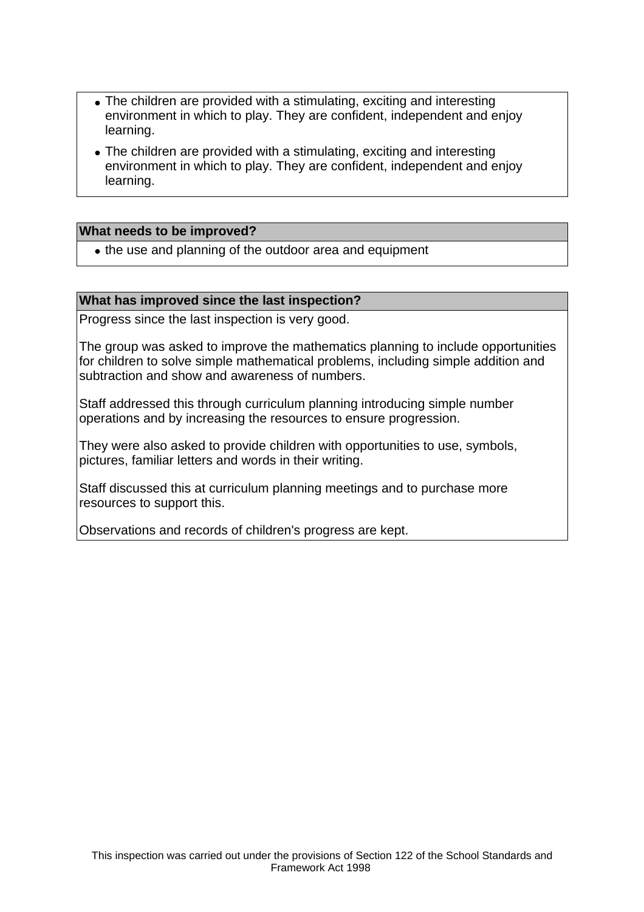- The children are provided with a stimulating, exciting and interesting environment in which to play. They are confident, independent and enjoy learning.
- The children are provided with a stimulating, exciting and interesting environment in which to play. They are confident, independent and enjoy learning.

## **What needs to be improved?**

• the use and planning of the outdoor area and equipment

#### **What has improved since the last inspection?**

Progress since the last inspection is very good.

The group was asked to improve the mathematics planning to include opportunities for children to solve simple mathematical problems, including simple addition and subtraction and show and awareness of numbers.

Staff addressed this through curriculum planning introducing simple number operations and by increasing the resources to ensure progression.

They were also asked to provide children with opportunities to use, symbols, pictures, familiar letters and words in their writing.

Staff discussed this at curriculum planning meetings and to purchase more resources to support this.

Observations and records of children's progress are kept.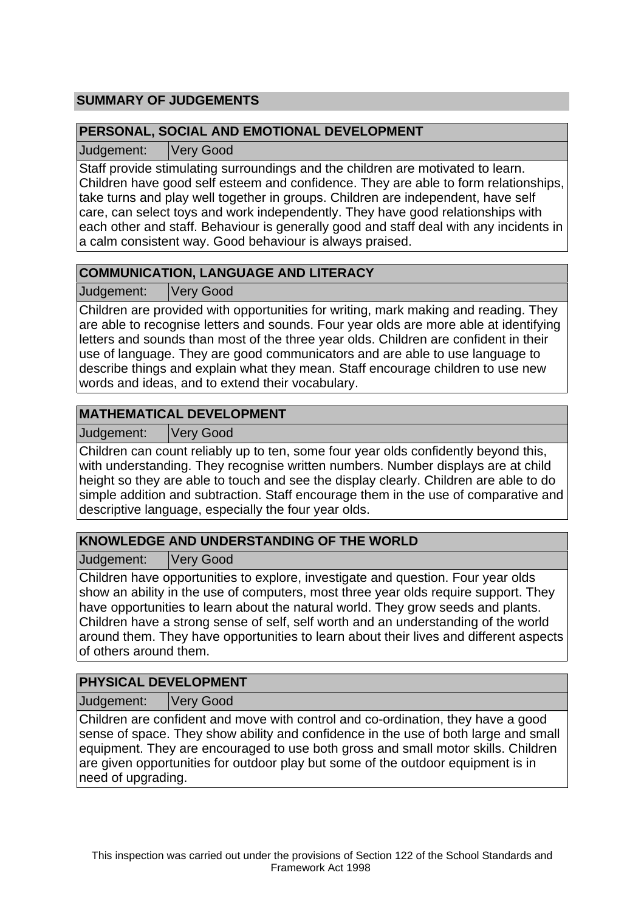# **SUMMARY OF JUDGEMENTS**

## **PERSONAL, SOCIAL AND EMOTIONAL DEVELOPMENT**

Judgement: Very Good

Staff provide stimulating surroundings and the children are motivated to learn. Children have good self esteem and confidence. They are able to form relationships, take turns and play well together in groups. Children are independent, have self care, can select toys and work independently. They have good relationships with each other and staff. Behaviour is generally good and staff deal with any incidents in a calm consistent way. Good behaviour is always praised.

# **COMMUNICATION, LANGUAGE AND LITERACY**

Judgement: Very Good

Children are provided with opportunities for writing, mark making and reading. They are able to recognise letters and sounds. Four year olds are more able at identifying letters and sounds than most of the three year olds. Children are confident in their use of language. They are good communicators and are able to use language to describe things and explain what they mean. Staff encourage children to use new words and ideas, and to extend their vocabulary.

## **MATHEMATICAL DEVELOPMENT**

Judgement: Very Good

Children can count reliably up to ten, some four year olds confidently beyond this, with understanding. They recognise written numbers. Number displays are at child height so they are able to touch and see the display clearly. Children are able to do simple addition and subtraction. Staff encourage them in the use of comparative and descriptive language, especially the four year olds.

# **KNOWLEDGE AND UNDERSTANDING OF THE WORLD**

Judgement: Very Good

Children have opportunities to explore, investigate and question. Four year olds show an ability in the use of computers, most three year olds require support. They have opportunities to learn about the natural world. They grow seeds and plants. Children have a strong sense of self, self worth and an understanding of the world around them. They have opportunities to learn about their lives and different aspects of others around them.

## **PHYSICAL DEVELOPMENT**

Judgement: Very Good

Children are confident and move with control and co-ordination, they have a good sense of space. They show ability and confidence in the use of both large and small equipment. They are encouraged to use both gross and small motor skills. Children are given opportunities for outdoor play but some of the outdoor equipment is in need of upgrading.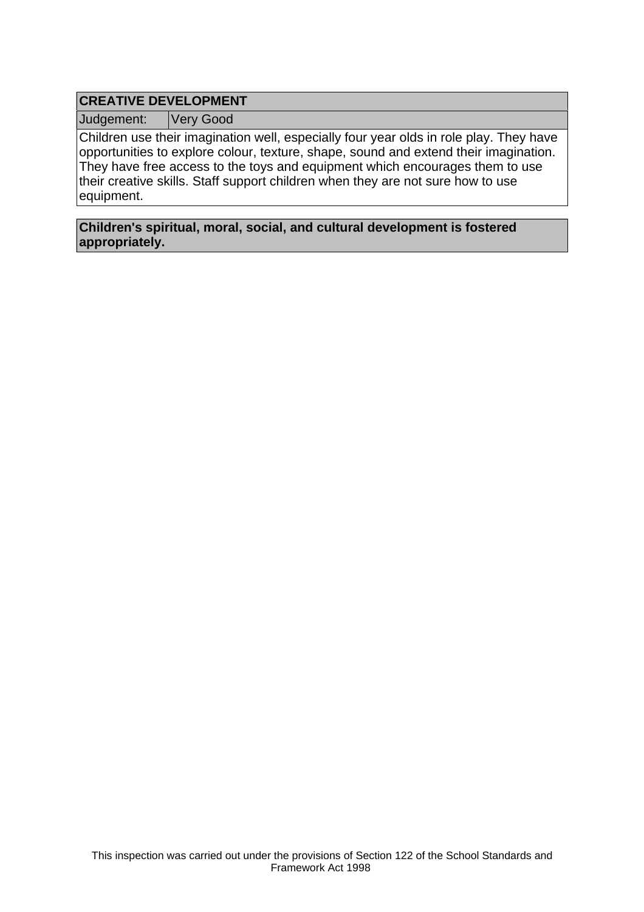# **CREATIVE DEVELOPMENT**

Judgement: Very Good

Children use their imagination well, especially four year olds in role play. They have opportunities to explore colour, texture, shape, sound and extend their imagination. They have free access to the toys and equipment which encourages them to use their creative skills. Staff support children when they are not sure how to use equipment.

**Children's spiritual, moral, social, and cultural development is fostered appropriately.**